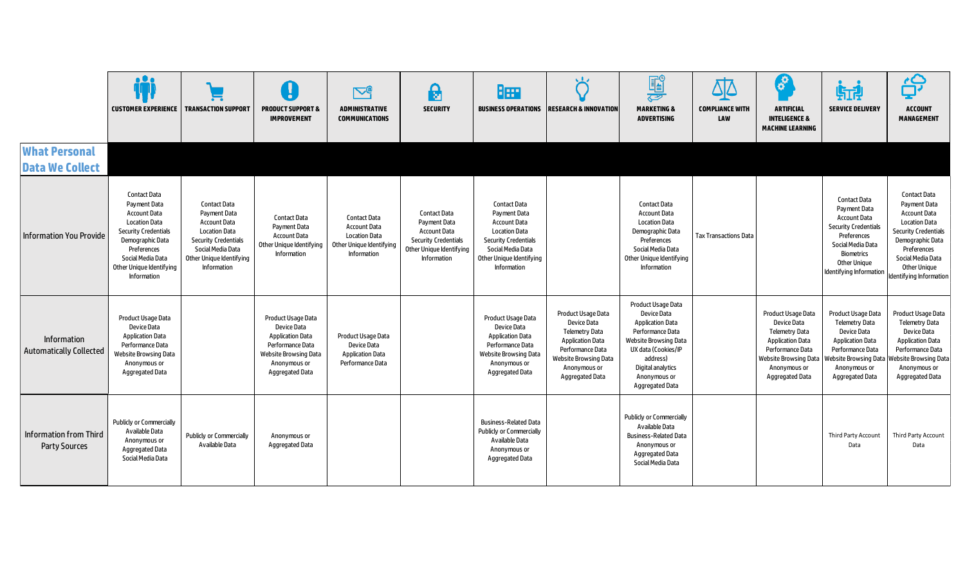|                                                | <b>CUSTOMER EXPERIENCE</b>                                                                                                                                                                                                  | <b>TRANSACTION SUPPORT</b>                                                                                                                                                        | IJ<br><b>PRODUCT SUPPORT &amp;</b><br><b>IMPROVEMENT</b>                                                                                            | $\nabla^{\varrho}$<br><b>ADMINISTRATIVE</b><br><b>COMMUNICATIONS</b>                                                 | $\Theta$<br><b>SECURITY</b>                                                                                                   | Bee                                                                                                                                                                                      | ້ດັ<br><b>BUSINESS OPERATIONS IRESEARCH &amp; INNOVATION</b>                                                                                                                 | <b>II</b><br><b>MARKETING &amp;</b><br><b>ADVERTISING</b>                                                                                                                                                          | Δ]Δ<br><b>COMPLIANCE WITH</b><br>LAW | $\mathbf{e}^{\mathbf{e}}$<br><b>ARTIFICIAL</b><br><b>INTELIGENCE &amp;</b><br><b>MACHINE LEARNING</b>                                                                 | 航<br><b>SERVICE DELIVERY</b>                                                                                                                                                                         | 台<br><b>ACCOUNT</b><br><b>MANAGEMENT</b>                                                                                                                                                                                    |
|------------------------------------------------|-----------------------------------------------------------------------------------------------------------------------------------------------------------------------------------------------------------------------------|-----------------------------------------------------------------------------------------------------------------------------------------------------------------------------------|-----------------------------------------------------------------------------------------------------------------------------------------------------|----------------------------------------------------------------------------------------------------------------------|-------------------------------------------------------------------------------------------------------------------------------|------------------------------------------------------------------------------------------------------------------------------------------------------------------------------------------|------------------------------------------------------------------------------------------------------------------------------------------------------------------------------|--------------------------------------------------------------------------------------------------------------------------------------------------------------------------------------------------------------------|--------------------------------------|-----------------------------------------------------------------------------------------------------------------------------------------------------------------------|------------------------------------------------------------------------------------------------------------------------------------------------------------------------------------------------------|-----------------------------------------------------------------------------------------------------------------------------------------------------------------------------------------------------------------------------|
| <b>What Personal</b><br><b>Data We Collect</b> |                                                                                                                                                                                                                             |                                                                                                                                                                                   |                                                                                                                                                     |                                                                                                                      |                                                                                                                               |                                                                                                                                                                                          |                                                                                                                                                                              |                                                                                                                                                                                                                    |                                      |                                                                                                                                                                       |                                                                                                                                                                                                      |                                                                                                                                                                                                                             |
| <b>Information You Provide</b>                 | <b>Contact Data</b><br>Payment Data<br><b>Account Data</b><br><b>Location Data</b><br><b>Security Credentials</b><br>Demographic Data<br>Preferences<br>Social Media Data<br>Other Unique Identifying<br><b>Information</b> | <b>Contact Data</b><br>Payment Data<br><b>Account Data</b><br><b>Location Data</b><br><b>Security Credentials</b><br>Social Media Data<br>Other Unique Identifying<br>Information | <b>Contact Data</b><br>Payment Data<br><b>Account Data</b><br>Other Unique Identifying<br><b>Information</b>                                        | <b>Contact Data</b><br><b>Account Data</b><br><b>Location Data</b><br>Other Unique Identifying<br><b>Information</b> | Contact Data<br>Payment Data<br><b>Account Data</b><br><b>Security Credentials</b><br>Other Unique Identifying<br>Information | <b>Contact Data</b><br>Payment Data<br><b>Account Data</b><br><b>Location Data</b><br><b>Security Credentials</b><br>Social Media Data<br>Other Unique Identifying<br><b>Information</b> |                                                                                                                                                                              | <b>Contact Data</b><br><b>Account Data</b><br><b>Location Data</b><br>Demographic Data<br>Preferences<br>Social Media Data<br>Other Unique Identifying<br>Information                                              | <b>Tax Transactions Data</b>         |                                                                                                                                                                       | <b>Contact Data</b><br>Payment Data<br><b>Account Data</b><br><b>Security Credentials</b><br>Preferences<br>Social Media Data<br><b>Biometrics</b><br><b>Other Unique</b><br>Identifying Information | <b>Contact Data</b><br>Payment Data<br><b>Account Data</b><br><b>Location Data</b><br><b>Security Credentials</b><br>Demographic Data<br>Preferences<br>Social Media Data<br><b>Other Unique</b><br>Identifying Information |
| Information<br><b>Automatically Collected</b>  | Product Usage Data<br><b>Device Data</b><br><b>Application Data</b><br>Performance Data<br><b>Website Browsing Data</b><br>Anonymous or<br>Aggregated Data                                                                  |                                                                                                                                                                                   | Product Usage Data<br>Device Data<br><b>Application Data</b><br>Performance Data<br><b>Website Browsing Data</b><br>Anonymous or<br>Aggregated Data | Product Usage Data<br>Device Data<br><b>Application Data</b><br>Performance Data                                     |                                                                                                                               | Product Usage Data<br>Device Data<br><b>Application Data</b><br>Performance Data<br><b>Website Browsing Data</b><br>Anonymous or<br>Aggregated Data                                      | Product Usage Data<br>Device Data<br><b>Telemetry Data</b><br><b>Application Data</b><br>Performance Data<br><b>Website Browsing Data</b><br>Anonymous or<br>Aggregated Data | Product Usage Data<br><b>Device Data</b><br><b>Application Data</b><br>Performance Data<br><b>Website Browsing Data</b><br>UX data (Cookies/IP<br>address)<br>Digital analytics<br>Anonymous or<br>Aggregated Data |                                      | Product Usage Data<br>Device Data<br>Telemetry Data<br><b>Application Data</b><br>Performance Data<br><b>Website Browsing Data</b><br>Anonymous or<br>Aggregated Data | Product Usage Data<br><b>Telemetry Data</b><br>Device Data<br><b>Application Data</b><br>Performance Data<br><b>Website Browsing Data</b><br>Anonymous or<br>Aggregated Data                         | <b>Product Usage Data</b><br><b>Telemetry Data</b><br><b>Device Data</b><br><b>Application Data</b><br>Performance Data<br><b>Website Browsing Data</b><br>Anonymous or<br>Aggregated Data                                  |
| <b>Information from Third</b><br>Party Sources | Publicly or Commercially<br>Available Data<br>Anonymous or<br>Aggregated Data<br>Social Media Data                                                                                                                          | <b>Publicly or Commercially</b><br>Available Data                                                                                                                                 | Anonymous or<br>Aggregated Data                                                                                                                     |                                                                                                                      |                                                                                                                               | <b>Business-Related Data</b><br><b>Publicly or Commercially</b><br>Available Data<br>Anonymous or<br>Aggregated Data                                                                     |                                                                                                                                                                              | <b>Publicly or Commercially</b><br>Available Data<br><b>Business-Related Data</b><br>Anonymous or<br>Aggregated Data<br>Social Media Data                                                                          |                                      |                                                                                                                                                                       | Third Party Account<br>Data                                                                                                                                                                          | Third Party Account<br>Data                                                                                                                                                                                                 |